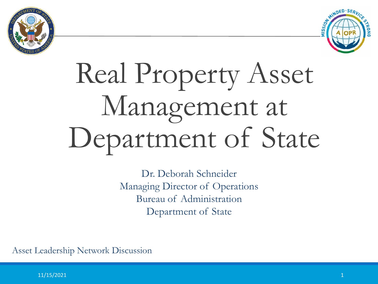



# Real Property Asset Management at Department of State

Dr. Deborah Schneider Managing Director of Operations Bureau of Administration Department of State

Asset Leadership Network Discussion

 $11/15/2021$   $1$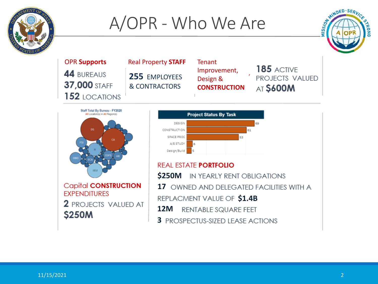

### A/OPR - Who We Are



OPR **Supports** Real Property **STAFF** Tenant **185 ACTIVE** Improvement, 44 BUREAUS 255 **EMPLOYEES** PROJECTS VALUED Design & 37,000 STAFF & CONTRACTORS **CONSTRUCTION AT \$600M 152 LOCATIONS** 



**Capital CONSTRUCTION EXPENDITURES 2** PROJECTS VALUED AT **\$250M** 



#### **REAL ESTATE PORTFOLIO**

**12M 12M \$250M** IN YEARLY RENT OBLIGATIONS **17 OWNED AND DELEGATED FACILITIES WITH A REPLACMENT VALUE OF \$1.4B 3** PROSPECTUS-SIZED LEASE ACTIONS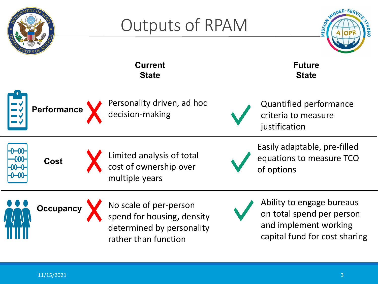

 $11/15/2021$  . The contract of the contract of the contract of the contract of the contract of the contract of the contract of the contract of the contract of the contract of the contract of the contract of the contract o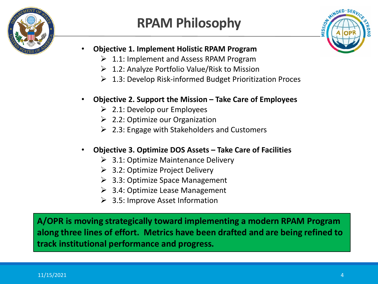

### **RPAM Philosophy**



- **Objective 1. Implement Holistic RPAM Program**
	- $\geq 1.1$ : Implement and Assess RPAM Program
	- $\geq 1.2$ : Analyze Portfolio Value/Risk to Mission
	- $\geq 1.3$ : Develop Risk-informed Budget Prioritization Proces
- **Objective 2. Support the Mission – Take Care of Employees**
	- $\geq$  2.1: Develop our Employees
	- $\geq$  2.2: Optimize our Organization
	- $\geq$  2.3: Engage with Stakeholders and Customers
- **Objective 3. Optimize DOS Assets – Take Care of Facilities**
	- $\geq$  3.1: Optimize Maintenance Delivery
	- $\geq$  3.2: Optimize Project Delivery
	- $\geq$  3.3: Optimize Space Management
	- $\geq$  3.4: Optimize Lease Management
	- $\geq$  3.5: Improve Asset Information

**A/OPR is moving strategically toward implementing a modern RPAM Program along three lines of effort. Metrics have been drafted and are being refined to track institutional performance and progress.**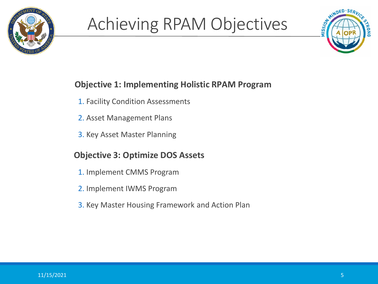

# Achieving RPAM Objectives



### **Objective 1: Implementing Holistic RPAM Program**

- 1. Facility Condition Assessments
- 2. Asset Management Plans
- 3. Key Asset Master Planning

#### **Objective 3: Optimize DOS Assets**

- 1. Implement CMMS Program
- 2. Implement IWMS Program
- 3. Key Master Housing Framework and Action Plan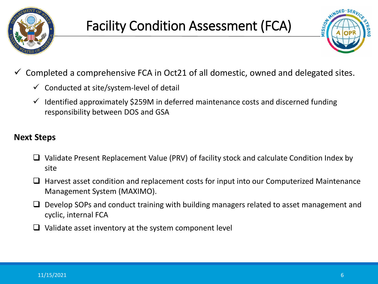

### Facility Condition Assessment (FCA)



- Completed a comprehensive FCA in Oct21 of all domestic, owned and delegated sites.
	- $\checkmark$  Conducted at site/system-level of detail
	- $\checkmark$  Identified approximately \$259M in deferred maintenance costs and discerned funding responsibility between DOS and GSA

#### **Next Steps**

- $\Box$  Validate Present Replacement Value (PRV) of facility stock and calculate Condition Index by site
- $\Box$  Harvest asset condition and replacement costs for input into our Computerized Maintenance Management System (MAXIMO).
- $\Box$  Develop SOPs and conduct training with building managers related to asset management and cyclic, internal FCA
- $\Box$  Validate asset inventory at the system component level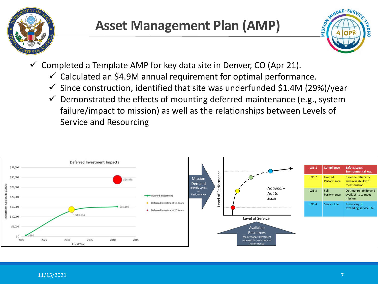

### **Asset Management Plan (AMP)**



- $\checkmark$  Completed a Template AMP for key data site in Denver, CO (Apr 21).
	- $\checkmark$  Calculated an \$4.9M annual requirement for optimal performance.
	- $\checkmark$  Since construction, identified that site was underfunded \$1.4M (29%)/year
	- $\checkmark$  Demonstrated the effects of mounting deferred maintenance (e.g., system failure/impact to mission) as well as the relationships between Levels of Service and Resourcing

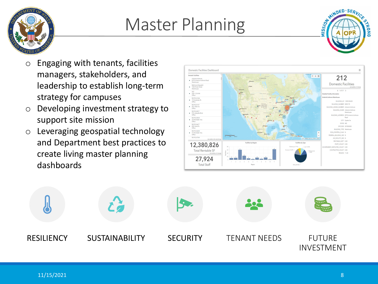

## Master Planning



- $\circ$  Engaging with tenants, facilities managers, stakeholders, and leadership to establish long-term strategy for campuses
- o Developing investment strategy to support site mission
- o Leveraging geospatial technology and Department best practices to create living master planning dashboards



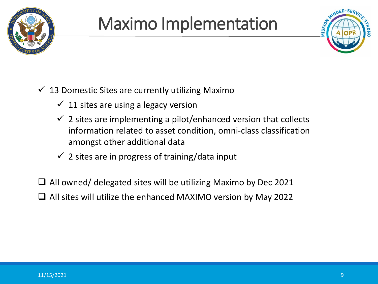

# Maximo Implementation



- $\checkmark$  13 Domestic Sites are currently utilizing Maximo
	- $\checkmark$  11 sites are using a legacy version
	- $\checkmark$  2 sites are implementing a pilot/enhanced version that collects information related to asset condition, omni-class classification amongst other additional data
	- $\checkmark$  2 sites are in progress of training/data input

 $\Box$  All owned/ delegated sites will be utilizing Maximo by Dec 2021  $\Box$  All sites will utilize the enhanced MAXIMO version by May 2022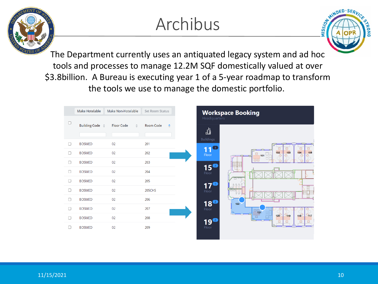# Archibus



The Department currently uses an antiquated legacy system and ad hoc tools and processes to manage 12.2M SQF domestically valued at over \$3.8billion. A Bureau is executing year 1 of a 5-year roadmap to transform the tools we use to manage the domestic portfolio.

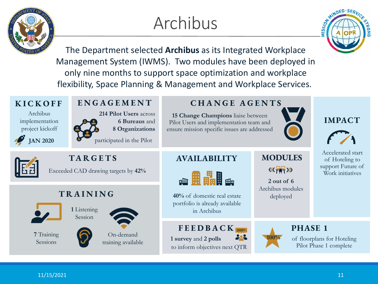# Archibus

MINDED.SE

The Department selected **Archibus** as its Integrated Workplace Management System (IWMS). Two modules have been deployed in only nine months to support space optimization and workplace flexibility, Space Planning & Management and Workplace Services.

#### **KICKOFF**

Archibus implementation project kickoff

**JAN 2020**



**TARGETS**

Exceeded CAD drawing targets by **42%**

#### **TRAINING**



**7** Training Sessions



**ENGAGEMENT**

**214 Pilot Users** across

participated in the Pilot

**6 Bureaus** and **8 Organizations**

On-demand training available

### **CHANGE AGENTS**

**15 Change Champions** liaise between Pilot Users and implementation team and ensure mission specific issues are addressed



#### **IMPACT**



Accelerated start of Hoteling to support Future of Work initiatives

#### **AVAILABILITY**



**40%** of domestic real estate portfolio is already available in Archibus

**FEEDBACK 1 survey** and **2 polls** to inform objectives next QTR



**2 out of 6**  Archibus modules deployed

 $\langle \langle \overline{f} \rangle \rangle$ 

**MODULES**

**PHASE 1** of floorplans for Hoteling Pilot Phase 1 complete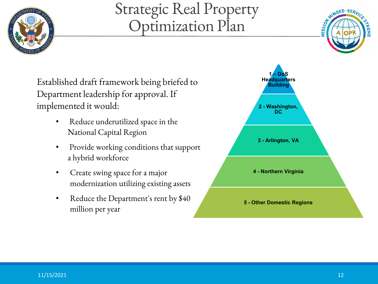

### Strategic Real Property Optimization Plan



Established draft framework being briefed to Department leadership for approval. If implemented it would:

- Reduce underutilized space in the National Capital Region
- Provide working conditions that support a hybrid workforce
- Create swing space for a major modernization utilizing existing assets
- Reduce the Department's rent by \$40 million per year

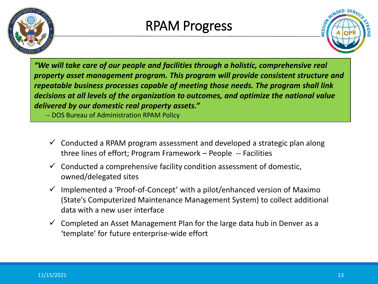



*"We will take care of our people and facilities through a holistic, comprehensive real property asset management program. This program will provide consistent structure and repeatable business processes capable of meeting those needs. The program shall link decisions at all levels of the organization to outcomes, and optimize the national value delivered by our domestic real property assets."*

-- DOS Bureau of Administration RPAM Policy

- $\checkmark$  Conducted a RPAM program assessment and developed a strategic plan along three lines of effort; Program Framework – People -- Facilities
- $\checkmark$  Conducted a comprehensive facility condition assessment of domestic, owned/delegated sites
- $\checkmark$  Implemented a 'Proof-of-Concept' with a pilot/enhanced version of Maximo (State's Computerized Maintenance Management System) to collect additional data with a new user interface
- $\checkmark$  Completed an Asset Management Plan for the large data hub in Denver as a 'template' for future enterprise-wide effort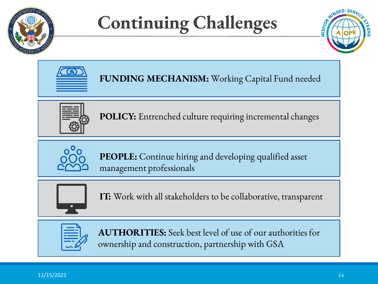

# **Continuing Challenges**





**FUNDING MECHANISM:** Working Capital Fund needed



**POLICY:** Entrenched culture requiring incremental changes



**PEOPLE:** Continue hiring and developing qualified asset management professionals



**IT:** Work with all stakeholders to be collaborative, transparent



**AUTHORITIES:** Seek best level of use of our authorities for ownership and construction, partnership with GSA